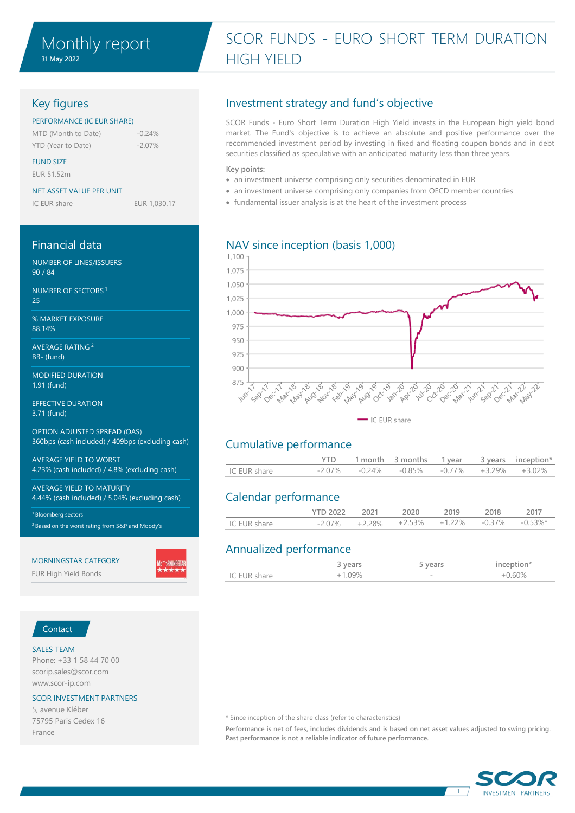# SCOR FUNDS - EURO SHORT TERM DURATION HIGH YIELD

## Key figures

### PERFORMANCE (IC EUR SHARE)

| MTD (Month to Date) | $-0.24%$  |
|---------------------|-----------|
| YTD (Year to Date)  | $-2.07\%$ |

### FUND SIZE

EUR 51.52m

### NET ASSET VALUE PER UNIT

IC EUR share EUR 1,030.17

### Financial data

NUMBER OF LINES/ISSUERS 90 / 84

NUMBER OF SECTORS <sup>1</sup> 25

% MARKET EXPOSURE 88.14%

AVERAGE RATING <sup>2</sup> BB- (fund)

MODIFIED DURATION 1.91 (fund)

EFFECTIVE DURATION 3.71 (fund)

OPTION ADJUSTED SPREAD (OAS) 360bps (cash included) / 409bps (excluding cash)

AVERAGE YIELD TO WORST 4.23% (cash included) / 4.8% (excluding cash)

AVERAGE YIELD TO MATURITY 4.44% (cash included) / 5.04% (excluding cash)

<sup>1</sup> Bloomberg sectors <sup>2</sup> Based on the worst rating from S&P and Moody's

### MORNINGSTAR CATEGORY

EUR High Yield Bonds

## Investment strategy and fund's objective

SCOR Funds - Euro Short Term Duration High Yield invests in the European high yield bond market. The Fund's objective is to achieve an absolute and positive performance over the recommended investment period by investing in fixed and floating coupon bonds and in debt securities classified as speculative with an anticipated maturity less than three years.

### **Key points:**

- an investment universe comprising only securities denominated in EUR
- an investment universe comprising only companies from OECD member countries
- fundamental issuer analysis is at the heart of the investment process

## NAV since inception (basis 1,000)



## Cumulative performance

|              |  | 1 month 3 months 1 year 3 years inception*                  |  |  |
|--------------|--|-------------------------------------------------------------|--|--|
| IC EUR share |  | $-2.07\%$ $-0.24\%$ $-0.85\%$ $-0.77\%$ $+3.29\%$ $+3.02\%$ |  |  |

## Calendar performance

|              | <b>YTD 2022</b> | 2021 | 2020 | 2019                                                          | 2018 | 2017 |
|--------------|-----------------|------|------|---------------------------------------------------------------|------|------|
| IC EUR share |                 |      |      | $-2.07\%$ $+2.28\%$ $+2.53\%$ $+1.22\%$ $-0.37\%$ $-0.53\%$ * |      |      |

## Annualized performance

|                             | VQ<br>◡ | $\sim$ | i na mana sa kima sa K |
|-----------------------------|---------|--------|------------------------|
| charo<br>IC FIIR -<br>◡<br> |         | $\sim$ | 00/                    |

### Contact

### SALES TEAM

Phone: +33 1 58 44 70 00 scorip.sales@scor.com www.scor-ip.com

### SCOR INVESTMENT PARTNERS

5, avenue Kléber 75795 Paris Cedex 16 France

### \* Since inception of the share class (refer to characteristics)

**Performance is net of fees, includes dividends and is based on net asset values adjusted to swing pricing. Past performance is not a reliable indicator of future performance.**

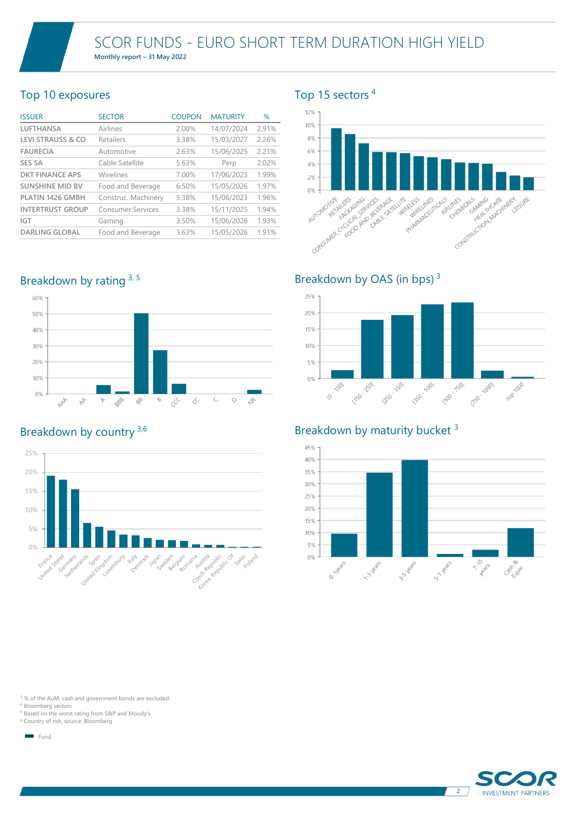## Top 10 exposures

| <b>ISSUER</b>                | <b>SECTOR</b>            | <b>COUPON</b> | <b>MATURITY</b> | $\%$  |
|------------------------------|--------------------------|---------------|-----------------|-------|
| <b>LUFTHANSA</b>             | Airlines                 | 2.00%         | 14/07/2024      | 2.91% |
| <b>LEVI STRAUSS &amp; CO</b> | Retailers                | 3.38%         | 15/03/2027      | 2.26% |
| <b>FAURECIA</b>              | Automotive               | 2.63%         | 15/06/2025      | 2.21% |
| <b>SES SA</b>                | Cable Satellite          | 5.63%         | Perp            | 2.02% |
| <b>DKT FINANCE APS</b>       | Wirelines                | 7.00%         | 17/06/2023      | 1.99% |
| <b>SUNSHINE MID BV</b>       | Food and Beverage        | 6.50%         | 15/05/2026      | 1.97% |
| PLATIN 1426 GMBH             | Construc. Machinery      | 5.38%         | 15/06/2023      | 1.96% |
| <b>INTERTRUST GROUP</b>      | <b>Consumer Services</b> | 3.38%         | 15/11/2025      | 1.94% |
| <b>IGT</b>                   | Gaming                   | 3.50%         | 15/06/2026      | 1.93% |
| <b>DARLING GLOBAL</b>        | Food and Beverage        | 3.63%         | 15/05/2026      | 1.91% |

Breakdown by rating 3, 5



## Breakdown by country 3,6



## Top 15 sectors <sup>4</sup>



Breakdown by OAS (in bps)  $3$ 



## Breakdown by maturity bucket<sup>3</sup>



<sup>3</sup>% of the AuM, cash and government bonds are excluded

<sup>4</sup> Bloomberg sectors

<sup>5</sup> Based on the worst rating from S&P and Moody's

<sup>6</sup> Country of risk, source: Bloomberg

Fund

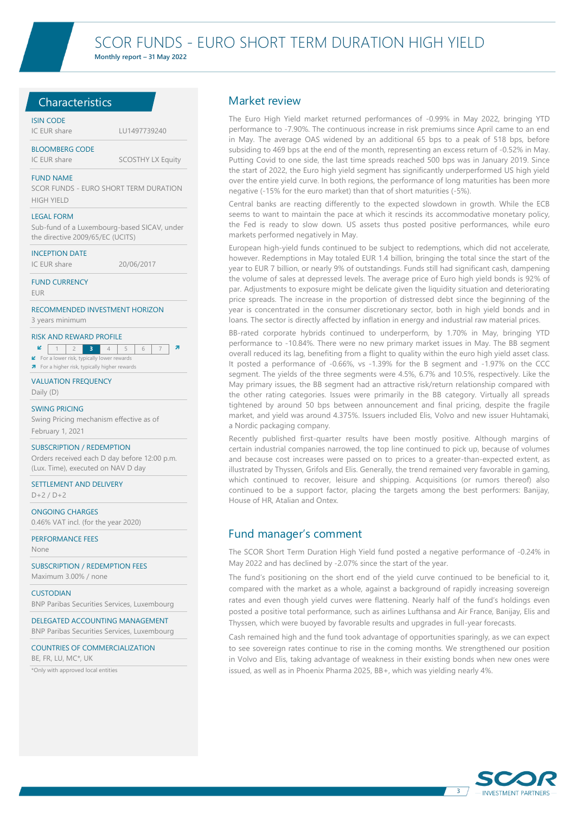## **Characteristics**

### ISIN CODE

IC EUR share LU1497739240

BLOOMBERG CODE

IC EUR share SCOSTHY LX Equity

#### FUND NAME

SCOR FUNDS - EURO SHORT TERM DURATION HIGH YIELD

#### LEGAL FORM

Sub-fund of a Luxembourg-based SICAV, under the directive 2009/65/EC (UCITS)

#### INCEPTION DATE

IC EUR share 20/06/2017

### FUND CURRENCY

EUR

### RECOMMENDED INVESTMENT HORIZON 3 years minimum

### RISK AND REWARD PROFILE

- **2 3** 4 5
- $\blacktriangleright$  For a lower risk, typically lower rewards **7** For a higher risk, typically higher rewards
- 

### VALUATION FREQUENCY

Daily (D)

### SWING PRICING

Swing Pricing mechanism effective as of February 1, 2021

### SUBSCRIPTION / REDEMPTION

Orders received each D day before 12:00 p.m. (Lux. Time), executed on NAV D day

SETTLEMENT AND DELIVERY

 $D+2/D+2$ 

ONGOING CHARGES 0.46% VAT incl. (for the year 2020)

PERFORMANCE FEES

None

SUBSCRIPTION / REDEMPTION FEES Maximum 3.00% / none

### **CUSTODIAN**

BNP Paribas Securities Services, Luxembourg

DELEGATED ACCOUNTING MANAGEMENT BNP Paribas Securities Services, Luxembourg

### COUNTRIES OF COMMERCIALIZATION

BE, FR, LU, MC\*, UK

\*Only with approved local entities

### Market review

The Euro High Yield market returned performances of -0.99% in May 2022, bringing YTD performance to -7.90%. The continuous increase in risk premiums since April came to an end in May. The average OAS widened by an additional 65 bps to a peak of 518 bps, before subsiding to 469 bps at the end of the month, representing an excess return of -0.52% in May. Putting Covid to one side, the last time spreads reached 500 bps was in January 2019. Since the start of 2022, the Euro high yield segment has significantly underperformed US high yield over the entire yield curve. In both regions, the performance of long maturities has been more negative (-15% for the euro market) than that of short maturities (-5%).

Central banks are reacting differently to the expected slowdown in growth. While the ECB seems to want to maintain the pace at which it rescinds its accommodative monetary policy, the Fed is ready to slow down. US assets thus posted positive performances, while euro markets performed negatively in May.

European high-yield funds continued to be subject to redemptions, which did not accelerate, however. Redemptions in May totaled EUR 1.4 billion, bringing the total since the start of the year to EUR 7 billion, or nearly 9% of outstandings. Funds still had significant cash, dampening the volume of sales at depressed levels. The average price of Euro high yield bonds is 92% of par. Adjustments to exposure might be delicate given the liquidity situation and deteriorating price spreads. The increase in the proportion of distressed debt since the beginning of the year is concentrated in the consumer discretionary sector, both in high yield bonds and in loans. The sector is directly affected by inflation in energy and industrial raw material prices.

BB-rated corporate hybrids continued to underperform, by 1.70% in May, bringing YTD performance to -10.84%. There were no new primary market issues in May. The BB segment overall reduced its lag, benefiting from a flight to quality within the euro high yield asset class. It posted a performance of -0.66%, vs -1.39% for the B segment and -1.97% on the CCC segment. The yields of the three segments were 4.5%, 6.7% and 10.5%, respectively. Like the May primary issues, the BB segment had an attractive risk/return relationship compared with the other rating categories. Issues were primarily in the BB category. Virtually all spreads tightened by around 50 bps between announcement and final pricing, despite the fragile market, and yield was around 4.375%. Issuers included Elis, Volvo and new issuer Huhtamaki, a Nordic packaging company.

Recently published first-quarter results have been mostly positive. Although margins of certain industrial companies narrowed, the top line continued to pick up, because of volumes and because cost increases were passed on to prices to a greater-than-expected extent, as illustrated by Thyssen, Grifols and Elis. Generally, the trend remained very favorable in gaming, which continued to recover, leisure and shipping. Acquisitions (or rumors thereof) also continued to be a support factor, placing the targets among the best performers: Banijay, House of HR, Atalian and Ontex.

## Fund manager's comment

The SCOR Short Term Duration High Yield fund posted a negative performance of -0.24% in May 2022 and has declined by -2.07% since the start of the year.

The fund's positioning on the short end of the yield curve continued to be beneficial to it, compared with the market as a whole, against a background of rapidly increasing sovereign rates and even though yield curves were flattening. Nearly half of the fund's holdings even posted a positive total performance, such as airlines Lufthansa and Air France, Banijay, Elis and Thyssen, which were buoyed by favorable results and upgrades in full-year forecasts.

Cash remained high and the fund took advantage of opportunities sparingly, as we can expect to see sovereign rates continue to rise in the coming months. We strengthened our position in Volvo and Elis, taking advantage of weakness in their existing bonds when new ones were issued, as well as in Phoenix Pharma 2025, BB+, which was yielding nearly 4%.